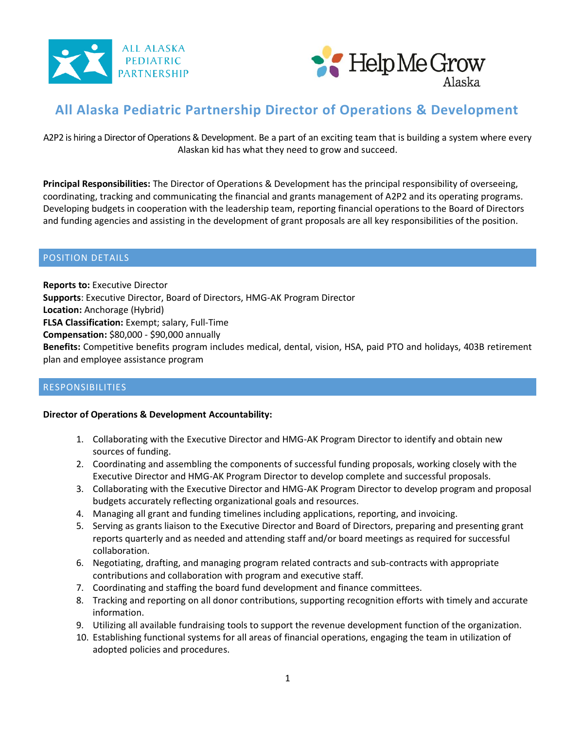



# **All Alaska Pediatric Partnership Director of Operations & Development**

A2P2 is hiring a Director of Operations & Development. Be a part of an exciting team that is building a system where every Alaskan kid has what they need to grow and succeed.

**Principal Responsibilities:** The Director of Operations & Development has the principal responsibility of overseeing, coordinating, tracking and communicating the financial and grants management of A2P2 and its operating programs. Developing budgets in cooperation with the leadership team, reporting financial operations to the Board of Directors and funding agencies and assisting in the development of grant proposals are all key responsibilities of the position.

#### POSITION DETAILS

**Reports to:** Executive Director **Supports**: Executive Director, Board of Directors, HMG-AK Program Director **Location:** Anchorage (Hybrid) **FLSA Classification:** Exempt; salary, Full-Time **Compensation:** \$80,000 - \$90,000 annually **Benefits:** Competitive benefits program includes medical, dental, vision, HSA, paid PTO and holidays, 403B retirement plan and employee assistance program

#### RESPONSIBILITIES

#### **Director of Operations & Development Accountability:**

- 1. Collaborating with the Executive Director and HMG-AK Program Director to identify and obtain new sources of funding.
- 2. Coordinating and assembling the components of successful funding proposals, working closely with the Executive Director and HMG-AK Program Director to develop complete and successful proposals.
- 3. Collaborating with the Executive Director and HMG-AK Program Director to develop program and proposal budgets accurately reflecting organizational goals and resources.
- 4. Managing all grant and funding timelines including applications, reporting, and invoicing.
- 5. Serving as grants liaison to the Executive Director and Board of Directors, preparing and presenting grant reports quarterly and as needed and attending staff and/or board meetings as required for successful collaboration.
- 6. Negotiating, drafting, and managing program related contracts and sub-contracts with appropriate contributions and collaboration with program and executive staff.
- 7. Coordinating and staffing the board fund development and finance committees.
- 8. Tracking and reporting on all donor contributions, supporting recognition efforts with timely and accurate information.
- 9. Utilizing all available fundraising tools to support the revenue development function of the organization.
- 10. Establishing functional systems for all areas of financial operations, engaging the team in utilization of adopted policies and procedures.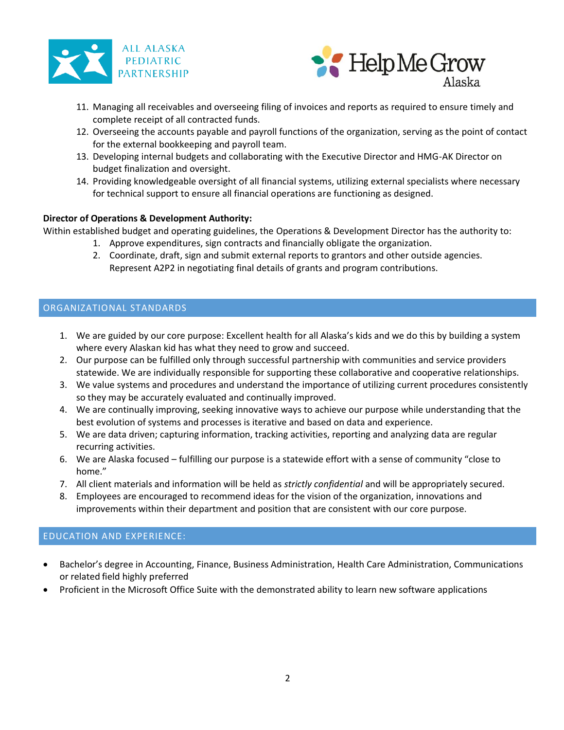



- 11. Managing all receivables and overseeing filing of invoices and reports as required to ensure timely and complete receipt of all contracted funds.
- 12. Overseeing the accounts payable and payroll functions of the organization, serving as the point of contact for the external bookkeeping and payroll team.
- 13. Developing internal budgets and collaborating with the Executive Director and HMG-AK Director on budget finalization and oversight.
- 14. Providing knowledgeable oversight of all financial systems, utilizing external specialists where necessary for technical support to ensure all financial operations are functioning as designed.

#### **Director of Operations & Development Authority:**

Within established budget and operating guidelines, the Operations & Development Director has the authority to:

- 1. Approve expenditures, sign contracts and financially obligate the organization.
- 2. Coordinate, draft, sign and submit external reports to grantors and other outside agencies. Represent A2P2 in negotiating final details of grants and program contributions.

## ORGANIZATIONAL STANDARDS

- 1. We are guided by our core purpose: Excellent health for all Alaska's kids and we do this by building a system where every Alaskan kid has what they need to grow and succeed.
- 2. Our purpose can be fulfilled only through successful partnership with communities and service providers statewide. We are individually responsible for supporting these collaborative and cooperative relationships.
- 3. We value systems and procedures and understand the importance of utilizing current procedures consistently so they may be accurately evaluated and continually improved.
- 4. We are continually improving, seeking innovative ways to achieve our purpose while understanding that the best evolution of systems and processes is iterative and based on data and experience.
- 5. We are data driven; capturing information, tracking activities, reporting and analyzing data are regular recurring activities.
- 6. We are Alaska focused fulfilling our purpose is a statewide effort with a sense of community "close to home."
- 7. All client materials and information will be held as *strictly confidential* and will be appropriately secured.
- 8. Employees are encouraged to recommend ideas for the vision of the organization, innovations and improvements within their department and position that are consistent with our core purpose.

#### EDUCATION AND EXPERIENCE:

- Bachelor's degree in Accounting, Finance, Business Administration, Health Care Administration, Communications or related field highly preferred
- Proficient in the Microsoft Office Suite with the demonstrated ability to learn new software applications